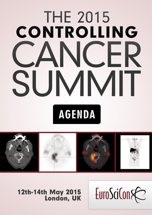# **THE 2015** CONTROLLING **NCFR** SUMMIT **AGENDA**



EuroSciCon&

12th-14th May 2015<br>London, UK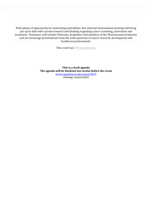With plenty of opportunity for networking and debate, this informal international meeting will bring you up to date with current research and thinking regarding cancer screening, prevention and treatment. Presenters will include Clinicians, Academics and members of the Pharmaceutical industry and we encourage presentations from the wide spectrum of cancer research, development and healthcare professionals.

This event has CPD [accreditation](http://euroscicon.com/CPD)

**This is a draft agenda The agenda will be finalised two weeks before the event** [www.regonline.co.uk/cancer2015](http://www.regonline.co.uk/cancer2015) Hashtag: #cancer2015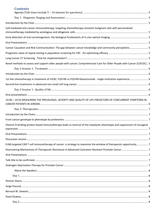| <b>Contents</b>                                                                                                         |  |
|-------------------------------------------------------------------------------------------------------------------------|--|
|                                                                                                                         |  |
|                                                                                                                         |  |
| Cell-mediated anti-cancer immunotherapy; targeting chemotherapy-resistant malignant cells with personalized             |  |
|                                                                                                                         |  |
|                                                                                                                         |  |
| Cancer Causation and Risk Communication: The gap between cancer knowledge and community perceptions 5                   |  |
|                                                                                                                         |  |
|                                                                                                                         |  |
| Novel methods to assess and support older people with cancer; Comprehensive Care for Older People with Cancer (COCOC) 5 |  |
|                                                                                                                         |  |
|                                                                                                                         |  |
| 1st line chemotherapy in treatment of mCRC: FOLFIRI vs FOLFIRI+bevacizumab - single institution experience 6            |  |
|                                                                                                                         |  |
|                                                                                                                         |  |
|                                                                                                                         |  |
| 14:40 - 14:55 MEASURING THE PREVALENCE, SEVERITY AND QUALITY OF LIFE PREDICTORS OF CONCURRENT SYMPTOMS IN               |  |
|                                                                                                                         |  |
|                                                                                                                         |  |
|                                                                                                                         |  |
| Vitamin D binding protein-based immunotherapy leads to reversal of the neoplastic phenotype and suppression of oncogene |  |
|                                                                                                                         |  |
|                                                                                                                         |  |
| ErbB-targeted CAR T-cell immunotherapy of cancer: a strategy to maximize the window of therapeutic opportunity 7        |  |
|                                                                                                                         |  |
|                                                                                                                         |  |
|                                                                                                                         |  |
|                                                                                                                         |  |
|                                                                                                                         |  |
|                                                                                                                         |  |
|                                                                                                                         |  |
|                                                                                                                         |  |
|                                                                                                                         |  |
|                                                                                                                         |  |
|                                                                                                                         |  |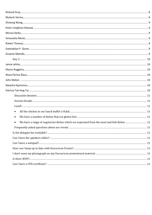| We have a range of vegetarian dishes which are separated from the meat and fish dishes  11 |  |
|--------------------------------------------------------------------------------------------|--|
|                                                                                            |  |
|                                                                                            |  |
|                                                                                            |  |
|                                                                                            |  |
|                                                                                            |  |
|                                                                                            |  |
|                                                                                            |  |
|                                                                                            |  |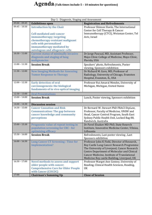# **Agenda(Talk times include 5 – 10 minutes for questions)**

<span id="page-4-9"></span><span id="page-4-8"></span><span id="page-4-7"></span><span id="page-4-6"></span><span id="page-4-5"></span><span id="page-4-4"></span><span id="page-4-3"></span><span id="page-4-2"></span><span id="page-4-1"></span><span id="page-4-0"></span>

| Day 1: Diagnosis, Staging and Assessment |                                                                                                                                                                                                                                 |                                                                                                                                                                                                                                                                                         |  |
|------------------------------------------|---------------------------------------------------------------------------------------------------------------------------------------------------------------------------------------------------------------------------------|-----------------------------------------------------------------------------------------------------------------------------------------------------------------------------------------------------------------------------------------------------------------------------------------|--|
| $09:00 - 09:45$                          | <b>Exhibitions open</b>                                                                                                                                                                                                         | <b>Registration and Refreshments</b>                                                                                                                                                                                                                                                    |  |
| $09:45 - 10:30$                          | <b>Introduction by the Chair</b><br><b>Cell-mediated anti-cancer</b><br>immunotherapy; targeting<br>chemotherapy-resistant malignant<br>cells with personalized<br>immunotherapy mediated by<br>autologous and allogeneic cells | Professor Shimon Slavin, The International<br>Center for Cell Therapy & Cancer<br>Immunotherapy (CTCI), Weizman Center, Tel<br>Aviv, Israel                                                                                                                                             |  |
| $10:30 - 11:00$                          | <b>Current status of minimally invasive</b><br>diagnosis and staging of lung<br>malignancies                                                                                                                                    | Dr Jorge Pascual, MD, Assistant Professor,<br>Mayo Clinic College of Medicine, Mayo Clinic,<br>Florida, USA                                                                                                                                                                             |  |
| $11:00 - 11:30$                          | <b>Session Break</b>                                                                                                                                                                                                            | Speakers' photo, Refreshments, Poster<br>viewing, Sponsors exhibition                                                                                                                                                                                                                   |  |
| $11:30 - 12:00$                          | <b>New Imaging Methods for Assessing</b><br><b>Tumor Response to Therapy</b>                                                                                                                                                    | Dr Richard M. Gore, MD, Professor of<br>Radiology, University of Chicago, Evanston<br>Hospital, Evanston, IL, USA                                                                                                                                                                       |  |
| $12:00 - 12:30$                          | <b>Early detection of oral</b><br>carcionogenesis: the biological<br>fundaments of in vivo optical imaging                                                                                                                      | Professor Rui Amaral Mendes, University of<br>Michigan, Michigan, United States                                                                                                                                                                                                         |  |
| $12:30 - 13:00$                          | <b>Oral Presentations</b>                                                                                                                                                                                                       |                                                                                                                                                                                                                                                                                         |  |
| $13:00 - 14:00$                          | <b>Session Break</b>                                                                                                                                                                                                            | Lunch, Poster viewing, Sponsors exhibition                                                                                                                                                                                                                                              |  |
| $14:00 - 14:30$                          | <b>Discussion session</b>                                                                                                                                                                                                       |                                                                                                                                                                                                                                                                                         |  |
| $14:30 - 15:00$                          | <b>Cancer Causation and Risk</b><br><b>Communication: The gap between</b><br>cancer knowledge and community<br>perceptions                                                                                                      | Dr Bernard W. Stewart PhD FRACI DipLaw,<br>Professor, Faculty of Medicine, UNSW and<br>Head, Cancer Control Program, South East<br>Sydney Public Health Unit, Locked Bag 88,<br>Randwick, Australia                                                                                     |  |
| $15:00 - 15:30$                          | Prognostic value of repeat testing in<br>population screening for CRC - for<br>optimizing efficacy                                                                                                                              | Dr Pavel Elsakov MD PhD, State Reserch<br>Institute, Innovative Medicine Center, Vilnius,<br>Lithuania                                                                                                                                                                                  |  |
| $15:30 - 16:00$                          | <b>Session Break</b>                                                                                                                                                                                                            | Refreshments, Last poster viewing, Last<br>Sponsors exhibition                                                                                                                                                                                                                          |  |
| $16:00 - 16:30$                          | <b>Lung Cancer CT Screening: Time for</b><br>implementation?                                                                                                                                                                    | Professor John K Field, Director of Research,<br>Roy Castle Lung Cancer Research Programme<br>The University of Liverpool, Cancer Research<br>Centre Department of Molecular and Clinical<br>Cancer Medicine, Institute of Translational<br>Medicine Roy castle Building, Liverpool, UK |  |
| $16:30 - 17:00$                          | <b>Novel methods to assess and support</b><br>older people with cancer;<br><b>Comprehensive Care for Older People</b><br>with Cancer (COCOC)                                                                                    | Professor Margot Ann Gosney, University of<br>Reading, Clinical Health Sciences, Reading,<br>UK                                                                                                                                                                                         |  |
| 17:00                                    | <b>Chairman's Summing Up</b>                                                                                                                                                                                                    | <b>Close of Session</b>                                                                                                                                                                                                                                                                 |  |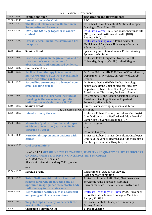<span id="page-5-6"></span><span id="page-5-5"></span><span id="page-5-4"></span><span id="page-5-3"></span><span id="page-5-2"></span><span id="page-5-1"></span><span id="page-5-0"></span>

| Day 2 Session 1: Treatment |                                                                                     |                                                                                                    |  |  |
|----------------------------|-------------------------------------------------------------------------------------|----------------------------------------------------------------------------------------------------|--|--|
| $09:00 - 09:30$            | <b>Exhibitions open</b>                                                             | <b>Registration and Refreshments</b>                                                               |  |  |
| $09:30 - 09:40$            | <b>Introduction by the Chair</b>                                                    | <b>TBC</b>                                                                                         |  |  |
| $09:40 - 10:00$            | The Role of Intraoperative Radiation in                                             | Dr Richard Gray, Consultant, Section of Surgical                                                   |  |  |
|                            | <b>Retroperitoneal Sarcoma</b>                                                      | Oncology, Mayo Clinic, US                                                                          |  |  |
| $10:00 - 10:20$            | <b>EWAS and GWAS go together in cancer</b>                                          | Dr Mukesh Verma, Ph.D, National Cancer Institute                                                   |  |  |
|                            | control                                                                             | (NCI), National Institutes of Health (NIH),                                                        |  |  |
| $10:20 - 10:40$            |                                                                                     | Bethesda, MD, USA<br>Professor Zhixiang Wang, PhD, Faculty of                                      |  |  |
|                            | <b>Breast Cancer, Chemo-resistance and ErbB</b><br>receptors                        | Medicine and Dentistry, University of Alberta,                                                     |  |  |
|                            |                                                                                     | Edmonton, Canada                                                                                   |  |  |
| $10:40 - 11:00$            | <b>Session Break</b>                                                                | Speakers' photo, Refreshments, Poster viewing,                                                     |  |  |
|                            |                                                                                     | Sponsors exhibition                                                                                |  |  |
| $11:00 - 11:20$            | Low-dose aspirin in the prevention and the                                          | Professor Peter Creighton Elwood, Cardiff                                                          |  |  |
|                            | treatment of cancer: a review of                                                    | University, Penylan, Cardiff, United Kingdom                                                       |  |  |
|                            | observational and randomised evidence.                                              |                                                                                                    |  |  |
| $11:20 - 12:10$            | <b>Oral Presentations</b>                                                           |                                                                                                    |  |  |
| $12:10 - 12:30$            | 1st line chemotherapy in treatment of                                               | Dr Zoran Rakusic, MD, PhD, Head of Clinical Ward,                                                  |  |  |
|                            | mCRC: FOLFIRI vs FOLFIRI+bevacizumab -                                              | Department of Oncology, University of Zagreb,                                                      |  |  |
| $12:30 - 12:50$            | single institution experience.<br>Second line treatments in advanced non-           | Croatia<br>Dr. Mircea Dediu MDPhD, Medical Oncology                                                |  |  |
|                            | small cell lung cancer                                                              | senior consultant, Chief of Medical Oncology                                                       |  |  |
|                            |                                                                                     | Department, Institute of Oncology" Alexandru                                                       |  |  |
|                            |                                                                                     | Trestioreanu" Bucharest, Bucharest, Romania                                                        |  |  |
| $12:50 - 13:10$            | <b>Experience of the European Institute of</b>                                      | Dr Simonetta Monti, Senior Assistant, Medico                                                       |  |  |
|                            | <b>Oncology in the use of intra-operative</b>                                       | Assistente, Senology Division, Reparto di                                                          |  |  |
|                            | radiotherapy with electrons (ELIOT)                                                 | Senologia, Milano, Italy                                                                           |  |  |
| $13:10 - 13:50$            | <b>Session Break</b>                                                                | Lunch, Poster viewing, Sponsors exhibition                                                         |  |  |
| $13:50 - 14:00$            | Day 2 Session 1: Quality of life                                                    |                                                                                                    |  |  |
|                            | <b>Introduction by the chair</b>                                                    | Professor Robert Thomas, Consultant Oncologist,<br>Cranfield University, Bedford and Addenbrooke's |  |  |
|                            |                                                                                     | Cambridge University, Hospitals, UK                                                                |  |  |
| $14:00 - 14:20$            | <b>Measuring Quality of Survival and Impact</b>                                     | <b>Stacie Hudgens</b>                                                                              |  |  |
|                            | of Adverse Events on Quality of Life in                                             | And                                                                                                |  |  |
|                            | <b>Metastatic Disease</b>                                                           |                                                                                                    |  |  |
| $14:20 - 14:40$            | <b>Nutritional supplement in patients with</b>                                      | Dr. Anna Forsythe<br>Professor Robert Thomas, Consultant Oncologist,                               |  |  |
|                            | cancer                                                                              | Cranfield University, Bedford and Addenbrooke's                                                    |  |  |
|                            |                                                                                     | Cambridge University, Hospitals, UK                                                                |  |  |
| $14:40 - 15:30$            | <b>Oral presentations</b>                                                           |                                                                                                    |  |  |
|                            |                                                                                     |                                                                                                    |  |  |
|                            |                                                                                     | 14:40 - 14:55 MEASURING THE PREVALENCE, SEVERITY AND QUALITY OF LIFE PREDICTORS                    |  |  |
|                            | OF CONCURRENT SYMPTOMS IN CANCER PATIENTS IN JORDAN                                 |                                                                                                    |  |  |
|                            | M. Al Qadire, M. Al Khalaileh                                                       |                                                                                                    |  |  |
|                            | Al al-Bayt University, Mafraq 25113, Jordan                                         |                                                                                                    |  |  |
|                            | TBC                                                                                 |                                                                                                    |  |  |
| $15:30 - 16:00$            | <b>Session Break</b>                                                                | Refreshments, Last poster viewing                                                                  |  |  |
|                            |                                                                                     | Last Sponsors exhibition                                                                           |  |  |
| $16:00 - 16:20$            | Role of balloons, fiducial markers, and                                             | Professor. Raymond Miralbell, Chef de service,                                                     |  |  |
|                            | spacers for a reliable targeting and an<br>optimized image guided stereotactic body | Service de radio-oncologie, Hôpitaux<br>universitaires de Genève, Genève, Switzerland              |  |  |
|                            | radiotherapy for prostate cancer                                                    |                                                                                                    |  |  |
| $16:20 - 16:40$            | <b>Reproductive health issues in adolescent</b>                                     | Professor Gwendolyn P. Quinn, Ph.D., University                                                    |  |  |
|                            | and young adult cancer survivors                                                    | of South Florida, Morsani College of Medicine,                                                     |  |  |
|                            |                                                                                     | Tampa, FL, USA                                                                                     |  |  |
| $16:40 - 17:00$            | Targeted alpha therapy for cancer & the                                             | Dr Graeme Melville, Macquarie University,                                                          |  |  |
|                            | use of radioisotopes                                                                | Sydney, Australia                                                                                  |  |  |
| 17:00                      | <b>Chairman's Summing Up</b>                                                        | <b>Close of Session</b>                                                                            |  |  |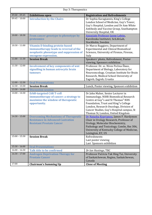<span id="page-6-10"></span><span id="page-6-9"></span><span id="page-6-8"></span><span id="page-6-7"></span><span id="page-6-6"></span><span id="page-6-5"></span><span id="page-6-4"></span><span id="page-6-3"></span><span id="page-6-2"></span><span id="page-6-1"></span><span id="page-6-0"></span>

| Day 3: Therapeutics |                                                                                                                                                     |                                                                                                                                                                                                                                                                                                                           |  |  |
|---------------------|-----------------------------------------------------------------------------------------------------------------------------------------------------|---------------------------------------------------------------------------------------------------------------------------------------------------------------------------------------------------------------------------------------------------------------------------------------------------------------------------|--|--|
| $09:00 - 09:45$     | <b>Exhibitions open</b>                                                                                                                             | <b>Registration and Refreshments</b>                                                                                                                                                                                                                                                                                      |  |  |
| $09:45 - 10:00$     | <b>Introduction by the Chairs</b>                                                                                                                   | Dr Sophia Karagiannis, King's College<br>London School of Medicine, Guy's Tower,<br>Guy's Hospital, London and Dr Ann White<br>Antibody and Vaccine Group, Southampton<br>University Hospital, UK                                                                                                                         |  |  |
| $10:00 - 10:30$     | From cancer genotype to phenotype by<br>proteomics                                                                                                  | Associate Professor Janne Lehtio,<br>Karolinska Institutet, SciLifeLab,<br>Stockholm, Sweden                                                                                                                                                                                                                              |  |  |
| $10:30 - 11:00$     | <b>Vitamin D binding protein-based</b><br>immunotherapy leads to reversal of the<br>neoplastic phenotype and suppression of<br>oncogene expression. | Dr Marco Ruggiero, Department of<br><b>Experimental and Clinical Biomedical</b><br>Sciences, University of Firenze, Firenze,<br>Italy                                                                                                                                                                                     |  |  |
| $11:00 - 11:30$     | <b>Session Break</b>                                                                                                                                | Speakers' photo, Refreshment, Poster<br>viewing, Sponsors exhibition                                                                                                                                                                                                                                                      |  |  |
| $11:30 - 12:00$     | <b>Involvement of key components of wnt</b><br>signalling in human astrocytic brain<br>tumours                                                      | Professor. Dr. sc. Nives Pećina-Šlaus,<br>Department of Biology, Laboratory for<br>Neurooncology, Croatian Institute for Brain<br>Research, Medical School University of<br>Zagreb, Zagreb, Croatia                                                                                                                       |  |  |
| $12:00 - 12:30$     | <b>Oral Presentations</b>                                                                                                                           |                                                                                                                                                                                                                                                                                                                           |  |  |
| $12:30 - 13:30$     | <b>Session Break</b>                                                                                                                                | Lunch, Poster viewing, Sponsors exhibition                                                                                                                                                                                                                                                                                |  |  |
| $13:30 - 14:00$     | <b>Discussion session</b>                                                                                                                           |                                                                                                                                                                                                                                                                                                                           |  |  |
| $14:00 - 14:30$     | <b>ErbB-targeted CAR T-cell</b><br>immunotherapy of cancer: a strategy to<br>maximize the window of therapeutic<br>opportunity.                     | Dr John Maher, Senior Lecturer in<br>Immunology, NIHR Biomedical Research<br>Centre at Guy <sup>1</sup> s and St Thomas <sup>1</sup> NHS<br>Foundation, Trust and King <sup>1</sup> s College<br>London, Research Oncology, Division of<br>Cancer Studies, Guy's Hospital campus, St<br>Thomas St, London, United Kingdom |  |  |
| $14:30 - 15:00$     | <b>Overcoming Mechanisms of Therapeutic</b><br><b>Resistance in Advanced Castration</b><br><b>Resistant Prostate Cancer</b>                         | Dr Natasha Kyprianou, James F. Hardymon<br>Chair in Urology Research, Professor of<br>Urology, Molecular Biochemistry,<br>Pathology and Toxicology, Combs, Rm 306,<br>University of Kentucky College of Medicine,<br>Lexington, KY, US                                                                                    |  |  |
| $15:00 - 15:30$     | <b>Session Break</b>                                                                                                                                | Refreshments<br>Last poster viewing<br>Last Sponsors exhibition                                                                                                                                                                                                                                                           |  |  |
| $15:30 - 16:00$     | <b>Oral Presentations</b>                                                                                                                           |                                                                                                                                                                                                                                                                                                                           |  |  |
| $16:00 - 16:30$     | <b>Talk title to be confirmed</b>                                                                                                                   | Dr Ian Hastings, TBC                                                                                                                                                                                                                                                                                                      |  |  |
| $16:30 - 17:00$     | <b>Androgen Deprivation Therapy for</b><br><b>Prostate Cancer</b>                                                                                   | Professor Patricia Tak Hing Tai, University<br>of Saskatchewan, Regina, Saskatchewan,<br>Canada                                                                                                                                                                                                                           |  |  |
| 17:00               | <b>Chairman's Summing Up</b>                                                                                                                        | <b>Close of Meeting</b>                                                                                                                                                                                                                                                                                                   |  |  |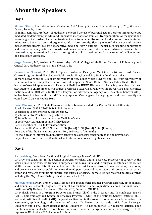# <span id="page-7-0"></span>**About the Speakers**

## <span id="page-7-1"></span>**Day 1**

<span id="page-7-2"></span>**Shimon Slavin,** The International Center for Cell Therapy & Cancer Immunotherapy (CTCI), Weizman Center, Tel Aviv, Israel

Shimon Slavin, MD, Professor of Medicine, pioneered the use of personalized anti-cancer immunotherapy mediated by donor lymphocytes and innovative methods for stem cell transplantation for malignant and non-malignant disorders, including treatment of autoimmune diseases and induction of transplantation tolerance to bone marrow and organ allografts. More recently, Slavin pioneered the use of multi-potent mesenchymal stromal cell for regenerative medicine. Slavin authors 4 books, 660 scientific publications and serves on many editorial boards and many national and international advisory boards. Slavin received many international awards in recognition of his contributions for treatment of malignant and non-malignant disorders.

<span id="page-7-3"></span>**Jorge Pascual,** MD, Assistant Professor, Mayo Clinic College of Medicine, Division of Pulmonary and Critical Care Medicine, Mayo Clinic, Florida, USA

<span id="page-7-4"></span>**Bernard W. Stewart,** PhD FRACI DipLaw, Professor, Faculty of Medicine, UNSW and Head, Cancer Control Program, South East Sydney Public Health Unit, Locked Bag 88, Randwick, Australia Bernard Stewart has an MSc from University of New South Wales (UNSW) and PhD from University of London and is currently Head, Cancer Control Program at South Eastern Sydney Public Health Unit. He has a professorial appointment in Faculty of Medicine, UNSW. His research focus is prevention of cancer attributable to environmental exposures. Professor Stewart is a Fellow of the Royal Australian Chemical Institute and in 2010 was admitted as a lawyer. For International Agency for Research on Cancer (IARC), he has been involved with the IARC Monographs on Carcinogenic Risks program and most recently coedited World Cancer Report 2014.

<span id="page-7-5"></span>**Pavel Elsakov,** MD PhD, State Research Institute, Innovative Medicine Center, Vilnius, Lithuania Pavel Elsakov (1957.05.08) M.D, PhD. Lithuania.

Specialist in Gastroenterology and Oncology.

1) Vilnius Centre Policlinic. Diagnostics Centre.

2) State Research Institute. Innovative Medicine Centre.

In 1995 year (Lithuania) obtained PhD degree.

He is a member of UICC fellows association.

Awarded of UICC found ICRETT grants 1992 (Israel), 1997 (Israel), 2003 (France).

Awarded of Nordic Baltic found grants 1994, 1998 years (Denmark).

His main areas of interest are hereditary cancer and colorectal cancer detection and prevention.

He published more than the 50 national and international research publications.

## <span id="page-7-6"></span>**Day 2**

<span id="page-7-7"></span>**Richard Gray,** Consultant, Section of Surgical Oncology, Mayo Clinic, US

Dr. Gray is a consultant in the section of surgical oncology and an associate professor of surgery at the Mayo Clinic in Arizona. He trained in surgery at the Mayo Clinic and in surgical oncology at the H. Lee Moffitt Cancer Center. His clinical and research interestest include retroperitoneal sarcoma, melanoma, and breast cancer. He has published more than 90 peer-reviewed manuscipts and serves as an associate editor and reviewer for multiple surgical and surgical oncology journals. He has received multiple awards including the Mayo Clinic Distinguished Educator for 2014.

<span id="page-7-8"></span>**[Mukesh Verma,](http://epi.grants.cancer.gov/mtb/)** Ph.D., Branch Chief, Methods and Technologies Branch, Program Director. Epidemiology and Genomics Research Program, Division of Cancer Control and Population Sciences. National Cancer Institute (NCI), National Institutes of Health (NIH), Bethesda, MD, USA

Dr. Mukesh Verma is a Program Director and Branch Chief in the Methods and Technologies Branch (MTB), Epidemiology and Genomics Research Program (EGRP) of the National Cancer Institute (NCI), National Institutes of Health (NIH). He provides direction in the areas of biomarkers, early detection, risk assessment, epidemiology and prevention of cancer. Dr. Mukesh Verma holds a M.Sc. from Pantnagar University and a Ph.D. from Banaras Hindu University. He has published 137 research articles, book chapters reviews and edited three books in cancer biomarker, epigenetics and epidemiology field. He represents NCI in the NIH Epigenome Roadmap.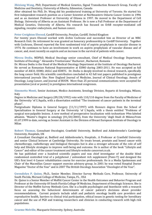<span id="page-8-0"></span>**[Zhixiang Wang,](http://www.medgen.ualberta.ca/AboutUs/Faculty/ZhixiangWang.aspx)** PhD, Department of Medical Genetics, Signal Transduction Research Group, Faculty of Medicine and Dentistry, University of Alberta, Edmonton, Canada

After obtained his PhD, Dr. Wang did his postdoctoral training at University of Toronto. He started his first independent research position as a Career Scientist at Northeastern Ontario Cancer Centre in 1996 and as an Assistant Professor at University of Ottawa in 1997. He moved to the Department of Cell Biology, University of Alberta as an Assistant Professor. He is now a Full Professor at the Department of Medical Genetics, University of Alberta. His research has focused on ErbB receptor-mediated cell signaling, receptor endocytosis, and human cancer.

#### <span id="page-8-1"></span>**Peter Creighton Elwood,** Cardiff University, Penylan, Cardiff, United Kingdom

For twenty years Elwood worked with Archie Cochrane and succeeded him as Director of an MRC Research Unit. On retirement he was granted an honorary professorship in Cardiff University. Together with Cochrane, Elwood reported the first randomised trial of aspirin prophylaxis in vascular disease in 1974. He continues to have an involvement in work on aspirin prophylaxis of vascular disease and of cancer, and, most recently on aspirin and an increase in the survival of patients with cancer.

<span id="page-8-2"></span>**Mircea Dediu,** MDPhD, Medical Oncology senior consultant, Chief of Medical Oncology Department, Institute of Oncology " Alexandru Trestioreanu" Bucharest , Bucharest, Romania

Dr. Mircea Dediu is the Head of the Medical Oncology Department at the Institute of Oncology Bucharest. He served as Romanian National Representative at ESMO during 2003-2011. He was accepted as full member of ASCO, ESMO, IASLC and EORTC. Dr. Dediu is deeply involved in clinical research, specifically the lung cancer field. His scientific contribution concluded in 42 full text papers published in prestigious international journals like: New England Journal of Medicine, Journal of Clinical Oncology, Annals of Oncology, Lung Cancer, and Journal of BUON. More than 25 personal communications were accepted for presentation (oral or poster) in prestigious international congresses.

<span id="page-8-3"></span>**Simonetta Monti,** Senior Assistant, Medico Assistente, Senology Division, Reparto di Senologia, Milano, Italy

Degree in Medicine and Surgery (09/28/1992) vote with 110/110 degree from the Faculty of Medicine of the University 'of L'Aquila, with a dissertation entitled "The treatment of cancer patients in the terminal phase".

Postgraduate Diploma in General Surgery (11/11/1997) with Honours degree from the School of Specialization in General Surgery at the University 'of L'Aquila, with a thesis entitled "Problems of surgical non-palpable lesions. A new method of preoperative localization with technetium 99m-labeled albumin. "Master's Degree in senology (01/20/2003), from the University 'degli Studi di Milano.From 01.07.1999 to date, serving as Senior Assistant in the Division of Breast European Institute of Oncology in Milan

<span id="page-8-4"></span>**Robert Thomas,** Consultant Oncologist, Cranfield University, Bedford and Addenbrooke's Cambridge University, Hospitals, UK

A Consultant Oncologist at, Bedford and Addenbrooke's, Hospitals.. A Professor at Cranfield University and senior Clinical lecturer at Cambridge University. He treats breast, prostate and bowel cancer with chemotherapy, radiotherapy and biological therapies but is also a stronger advocate of the role of self help and lifestyle strategies to improve well-being and outcome. He is author of the book "Lifestyle and Cancer" and editor of the cancer treatment and lifestyle website cancernet.co.uk.

He has published over a hundred scientific papers and was chief investigator of the double blind randomised controlled trial of a polyphenol / antioxidant rich supplement (Pomi-T) and designed the UK's first level 4 Cancer rehabilitation course for exercise professionals. He is a Media Spokesman and Chair of the Macmillan Cancer support exercise advisory group. In 2001 he was voted Hospital Doctor Magazine "Doctor of the Year" and in 2007 The British Oncology Association "Oncologist of the Year".

<span id="page-8-5"></span>**[Gwendolyn P. Quinn,](http://www.moffitt.org/)** Ph.D., Senior Member, Director Survey Methods Core, Professor, University of South Florida, Morsani College of Medicine, Tampa, FL , USA

Dr. Quinn is a Senior Member of Moffitt Cancer Center in the Health Outcomes and Behavior Program and Professor at the University Of South Florida College Of Medicine, Department of Oncologic Sciences. She is Director of the Moffitt Survey Methods Core. She is a health psychologist and bioethicist with a research focus on assessing the behavioral determinants of cancer patient's decisions about provider recommendations. Current projects include adult and pediatric oncology health care providers and reproductive health, barriers to clinical trial participation, ethical issues in genetic testing for hereditary cancer and the use of PGD and training researchers and clinician in conducting research with high risk populations.

<span id="page-8-6"></span>**Graeme Melville,** Macquarie University, Sydney, Australia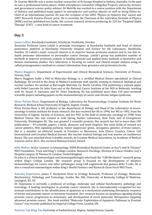Dr Graeme Melville was a senior nuclear researcher at St George Hospital in Sydney, Australia. In the past he was a professional tennis player, NASA astrophysics researcher (Magellan Project), university lecturer and government science policy advisor. Dr Melville has worked in a senior position with the Department of Defence and published many papers in astrophysics and nuclear physics as well as being Editor-in-Chief of an international journal. He was the recipient of the 2005 'Physics in Industry Day' award and 2007 'Research Futures Forum' prize. He is currently the Chairman of the Australian Institute of Physics (NSW) and has published two books. His current research involves producing Ac-225 for 'Targeted Alpha Therapy' (TAT) - a new kind of cancer treatment.

### <span id="page-9-0"></span>**Day 3**

<span id="page-9-1"></span>**[Janne Lehtio,](http://ki.se/en/onkpat/janne-lehtios-group)** Karolinska Institutet, SciLifeLab, Stockholm, Sweden

Associate Professor Janne Lehtiö is principle investigator at Karolinska Institutet and head of clinical proteomics platform at Karolinska University Hospital and Science for life Laboratory, Stockholm, Sweden. Dr Lehtiö's major research interest is to improve human proteome analysis and to use this indepth proteome information to personalize cancer therapy. Lehtiö's group has published number of methods to improve proteome analysis in leading journals and applied these methods in biomarker and disease mechanism studies. He's laboratory is focusing on cancer and clinical sample analysis using so called proteogenomics methods to connect information from genomics and proteomics levels.

<span id="page-9-2"></span>**Marco Ruggiero,** Department of Experimental and Clinical Biomedical Sciences, University of Firenze, Firenze, Italy

Marco Ruggiero holds a PhD in Molecular Biology, is a certified Medical Doctor specialised in Clinical Radiology. He served in the Army as Medical Lieutenant with specific training in chemical, biological and nuclear warfare. He worked at Burroughs Welcome Co. North Carolina, USA publishing a seminal paper with Nobel Laureate Sir John Vane and at the National Cancer Institute of the NIH in Bethesda, working with Dr. Stuart A. Aaronson and Dr. Peter Duesberg. He has published more than 150 peer-reviewed scientific papers including papers on the immunotherapy of cancer and chronic fatigue syndrome.

<span id="page-9-3"></span>**Nives Pećina-Šlaus,** Department of Biology, Laboratory for Neurooncology, Croatian Institute for Brain Research, Medical School University of Zagreb, Zagreb, Croatia

Nives Pecina-Slaus is full professor at the department of biology and Head of the Laboratory of neurooncology Croatian institute for brain research. She has received her BS in 1990, her MS in 1992, from the University of Zagreb, Faculty of Sciences, and her PhD in the field of molecular oncology in 1998, from Medical School. She was trained at Cold Spring Harbor Laboratory, New York, and at Georgetown University, Washington DC. She was granted 5 scientific projects. Her resarch has led to more than 100 publications – 49 scientific papers, a book, abstracts and book chapters. Her main fields of reseach are cancer genetics, Wnt signaling pathway, tumor suppressor genes, oncogenes, genetics of brain tumors. She is a member on editorial boards of Frontiers in Bioscience, Acta Clinica Croatica, Cancer Cell International and Croatian Medical Journal. She teaches medical biology and was mentor on numberous theses. She was awarded three scientific awards, by Croatian Medical Association, by Academy of Medical Sciences and in 2011. She received National Science Award.

<span id="page-9-4"></span>**John Maher, Senior Lecturer in Immunology, NIHR Biomedical Research Centre at Guy<sup>1</sup>s and St Thomas<sup>1</sup>** NHS Foundation, Trust and King<sup>1</sup>s College London, Research Oncology, Division of Cancer Studies, Guy's Hospital campus, St Thomas St, London, United Kingdom

Dr John is a clinical immunologist and immunopathologist who leads the "CAR Mechanics" research group within King's College London. His research group is focused on the development of adoptive immunotherapy for cancer and other pathologies using CAR engineered and gamma delta T-cells. He is also a consultant immunologist within King's Health Partners and Barnet & Chase Farm NHS Trust.

<span id="page-9-5"></span>**[Natasha Kyprianou,](http://surgery.med.uky.edu/users/nkypr2)** James F. Hardymon Chair in Urology Research, Professor of Urology, Molecular Biochemistry, Pathology and Toxicology, Combs, Rm 306, University of Kentucky College of Medicine, Lexington, KY, US

Dr. Kyprianou is currently a professor of urology, molecular and cellular biochemistry, pathology and toxicology. A leading investigator in prostate cancer research, she is internationally recognized for her seminal contributions to the identification of apoptosis as a mechanism underlying therapeutic response of breast and prostate tumors to hormone treatment. Her research focuses on apoptosis signaling during prostate cancer progression to metastasis, and development of novel molecular therapeutics targeting advanced prostate cancer. Her book entitled "Molecular Exploitation of Apoptosis Pathways in Prostate Cancer" was recently published by Imperial College Press, London, UK.

<span id="page-9-6"></span>**Patricia Tak Hing Tai**, University of Saskatchewan, Regina, Saskatchewan, Canada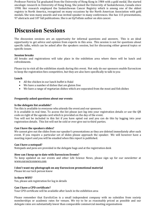Professor Patricia Tai graduated from the University of Hong Kong in 1984 with a gold medal. She started oncologic research in University of Hong Kong. She joined the University of Saskatchewan, Canada since 1998. Her research employed the Saskatchewan Cancer Registry which is among one of the oldest registry in North America, recognized on many occasions by the North American Association with gold medals. She won many awards and was invited speaker in many conferences. She has 115 presentations, 97 abstracts and 107 full publications. She is an UpToDate author on skin cancer.

## <span id="page-10-0"></span>**Discussion Sessions**

The discussion sessions are an opportunity for informal questions and answers. This is an ideal opportunity to get advice and opinion from experts in this area. This session is not for questions about specific talks, which can be asked after the speakers session, but for discussing either general topics or specific issues.

#### <span id="page-10-1"></span>**Session breaks**

All breaks and registrations will take place in the exhibition area where there will be lunch and refreshments.

Please try to visit all the exhibition stands during this event. Not only do our sponsors enable Euroscicon to keep the registration fees competitive, but they are also here specifically to talk to you

#### <span id="page-10-4"></span><span id="page-10-3"></span><span id="page-10-2"></span>**Lunch**

- All the chicken in our lunch buffet is Halal
- We have a number of dishes that are gluten free
- We have a range of vegetarian dishes which are separated from the meat and fish dishes

#### <span id="page-10-6"></span><span id="page-10-5"></span>**Frequently asked questions about our events**

#### <span id="page-10-7"></span>**Is the delegate list available?**

Yes this is available to everyone who attends the event and our sponsors.

It is available in real time. To access the list please just log into your registration details or use the QR code on right of the agenda card which is provided on the day of the event.

You will not be included in this list if you have opted out and you can do this by logging into your registration details. This list will not be sold or ever give out to third parties.

#### <span id="page-10-8"></span>**Can I have the speakers slides?**

We cannot give out the slides from our speaker's presentations as they are deleted immediately after each event. If you require a particular set of slides please approach the speaker. We will however have a meeting report and you will be emailed when this report is published.

#### <span id="page-10-9"></span>**Can I have a notepad?**

Notepads and pens are provided in the delegate bags and at the registration desk

#### <span id="page-10-10"></span>**How can I keep up to date with Euroscicon Events?**

To keep updated on our events and other Life Science News, please sign up for our newsletter a[t](http://www.eurosciconnews.com/) [www.eurosciconnews.com](http://www.eurosciconnews.com/)

#### <span id="page-10-11"></span>**I don't want my photograph on any Euroscicon promotional material**

Please let our tech person know

#### <span id="page-10-12"></span>**Is there WIFI?**

Yes, please ask registration for log in details

#### <span id="page-10-13"></span>**Can I have a CPD certificate?**

Your CPD certificate will be available after lunch in the exhibition area

Please remember that EuroSciCon is a small independent company with no subsidies from society memberships or academic rates for venues. We try to be as reasonably priced as possible and our delegate rates are substantially lower than comparable commercial meeting organisations